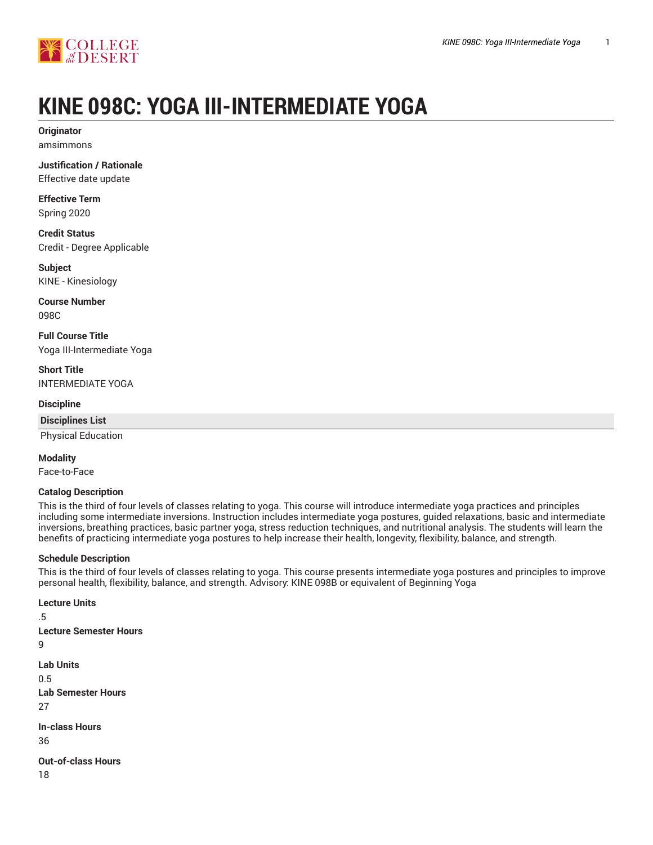

# **KINE 098C: YOGA III-INTERMEDIATE YOGA**

**Originator** amsimmons

**Justification / Rationale** Effective date update

**Effective Term**

Spring 2020

**Credit Status** Credit - Degree Applicable

**Subject** KINE - Kinesiology

**Course Number** 098C

**Full Course Title** Yoga III-Intermediate Yoga

**Short Title** INTERMEDIATE YOGA

#### **Discipline**

**Disciplines List**

Physical Education

#### **Modality**

Face-to-Face

#### **Catalog Description**

This is the third of four levels of classes relating to yoga. This course will introduce intermediate yoga practices and principles including some intermediate inversions. Instruction includes intermediate yoga postures, guided relaxations, basic and intermediate inversions, breathing practices, basic partner yoga, stress reduction techniques, and nutritional analysis. The students will learn the benefits of practicing intermediate yoga postures to help increase their health, longevity, flexibility, balance, and strength.

#### **Schedule Description**

This is the third of four levels of classes relating to yoga. This course presents intermediate yoga postures and principles to improve personal health, flexibility, balance, and strength. Advisory: KINE 098B or equivalent of Beginning Yoga

**Lecture Units** .5 **Lecture Semester Hours** 9 **Lab Units** 0.5 **Lab Semester Hours** 27 **In-class Hours** 36 **Out-of-class Hours** 18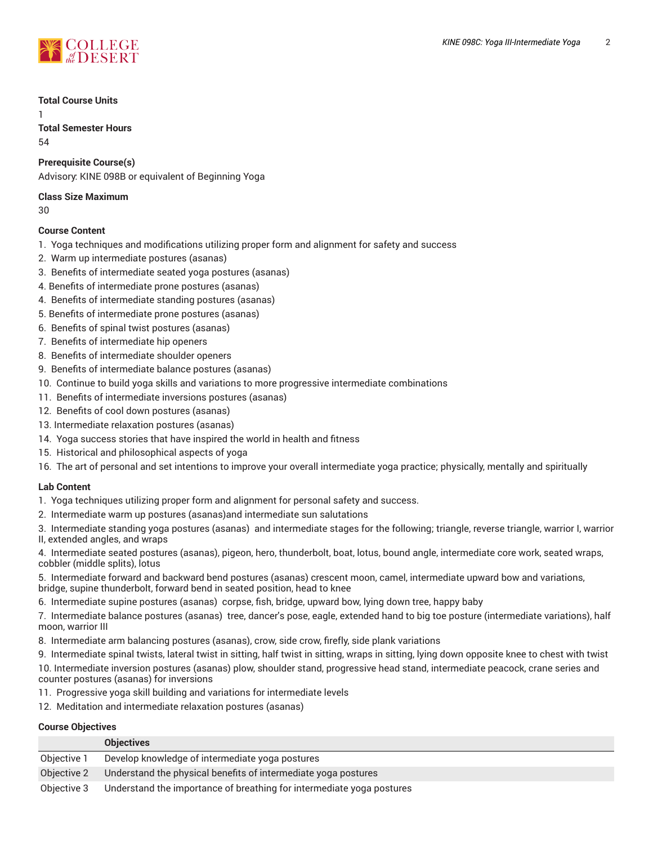

#### **Total Course Units**

1

**Total Semester Hours** 54

# **Prerequisite Course(s)**

Advisory: KINE 098B or equivalent of Beginning Yoga

#### **Class Size Maximum**

 $20$ 

# **Course Content**

- 1. Yoga techniques and modifications utilizing proper form and alignment for safety and success
- 2. Warm up intermediate postures (asanas)
- 3. Benefits of intermediate seated yoga postures (asanas)
- 4. Benefits of intermediate prone postures (asanas)
- 4. Benefits of intermediate standing postures (asanas)
- 5. Benefits of intermediate prone postures (asanas)
- 6. Benefits of spinal twist postures (asanas)
- 7. Benefits of intermediate hip openers
- 8. Benefits of intermediate shoulder openers
- 9. Benefits of intermediate balance postures (asanas)
- 10. Continue to build yoga skills and variations to more progressive intermediate combinations
- 11. Benefits of intermediate inversions postures (asanas)
- 12. Benefits of cool down postures (asanas)
- 13. Intermediate relaxation postures (asanas)
- 14. Yoga success stories that have inspired the world in health and fitness
- 15. Historical and philosophical aspects of yoga
- 16. The art of personal and set intentions to improve your overall intermediate yoga practice; physically, mentally and spiritually

#### **Lab Content**

- 1. Yoga techniques utilizing proper form and alignment for personal safety and success.
- 2. Intermediate warm up postures (asanas)and intermediate sun salutations

3. Intermediate standing yoga postures (asanas) and intermediate stages for the following; triangle, reverse triangle, warrior I, warrior

II, extended angles, and wraps

4. Intermediate seated postures (asanas), pigeon, hero, thunderbolt, boat, lotus, bound angle, intermediate core work, seated wraps, cobbler (middle splits), lotus

5. Intermediate forward and backward bend postures (asanas) crescent moon, camel, intermediate upward bow and variations, bridge, supine thunderbolt, forward bend in seated position, head to knee

6. Intermediate supine postures (asanas) corpse, fish, bridge, upward bow, lying down tree, happy baby

7. Intermediate balance postures (asanas) tree, dancer's pose, eagle, extended hand to big toe posture (intermediate variations), half moon, warrior III

8. Intermediate arm balancing postures (asanas), crow, side crow, firefly, side plank variations

9. Intermediate spinal twists, lateral twist in sitting, half twist in sitting, wraps in sitting, lying down opposite knee to chest with twist 10. Intermediate inversion postures (asanas) plow, shoulder stand, progressive head stand, intermediate peacock, crane series and counter postures (asanas) for inversions

- 11. Progressive yoga skill building and variations for intermediate levels
- 12. Meditation and intermediate relaxation postures (asanas)

# **Course Objectives**

|             | <b>Objectives</b>                                                     |
|-------------|-----------------------------------------------------------------------|
| Objective 1 | Develop knowledge of intermediate yoga postures                       |
| Objective 2 | Understand the physical benefits of intermediate yoga postures        |
| Objective 3 | Understand the importance of breathing for intermediate yoga postures |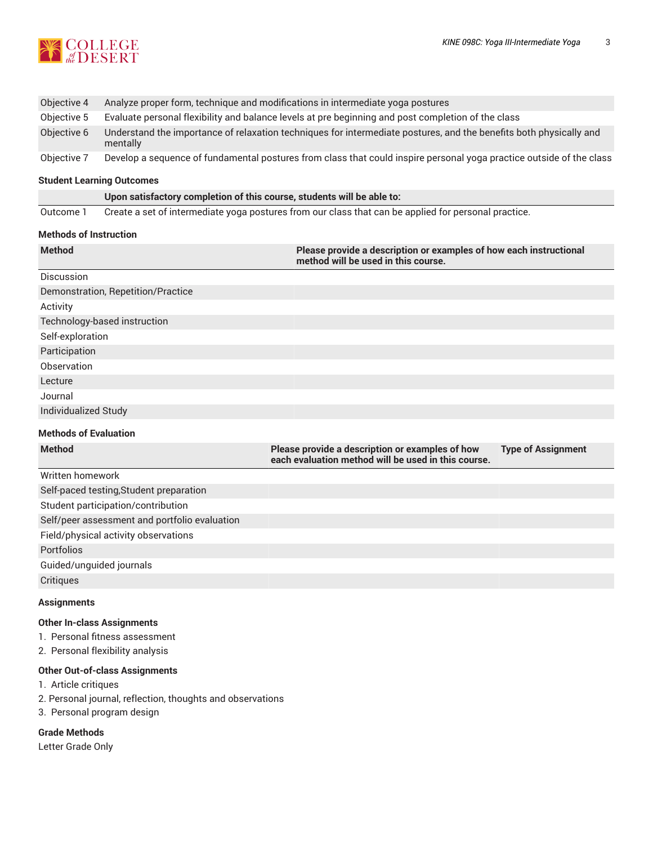

| Objective 4 | Analyze proper form, technique and modifications in intermediate yoga postures                                                 |
|-------------|--------------------------------------------------------------------------------------------------------------------------------|
| Objective 5 | Evaluate personal flexibility and balance levels at pre beginning and post completion of the class                             |
| Objective 6 | Understand the importance of relaxation techniques for intermediate postures, and the benefits both physically and<br>mentally |
| Objective 7 | Develop a sequence of fundamental postures from class that could inspire personal yoga practice outside of the class           |

#### **Student Learning Outcomes**

**Upon satisfactory completion of this course, students will be able to:**

Outcome 1 Create a set of intermediate yoga postures from our class that can be applied for personal practice.

#### **Methods of Instruction**

| <b>Method</b>                      | Please provide a description or examples of how each instructional<br>method will be used in this course. |                           |
|------------------------------------|-----------------------------------------------------------------------------------------------------------|---------------------------|
| <b>Discussion</b>                  |                                                                                                           |                           |
| Demonstration, Repetition/Practice |                                                                                                           |                           |
| Activity                           |                                                                                                           |                           |
| Technology-based instruction       |                                                                                                           |                           |
| Self-exploration                   |                                                                                                           |                           |
| Participation                      |                                                                                                           |                           |
| Observation                        |                                                                                                           |                           |
| Lecture                            |                                                                                                           |                           |
| Journal                            |                                                                                                           |                           |
| Individualized Study               |                                                                                                           |                           |
| <b>Methods of Evaluation</b>       |                                                                                                           |                           |
| <b>Method</b>                      | Please provide a description or examples of how<br>each evaluation method will be used in this course.    | <b>Type of Assignment</b> |

| Written homework                              |
|-----------------------------------------------|
| Self-paced testing, Student preparation       |
| Student participation/contribution            |
| Self/peer assessment and portfolio evaluation |
| Field/physical activity observations          |
| <b>Portfolios</b>                             |
| Guided/unguided journals                      |
| Critiques                                     |

# **Assignments**

#### **Other In-class Assignments**

1. Personal fitness assessment

2. Personal flexibility analysis

# **Other Out-of-class Assignments**

- 1. Article critiques
- 2. Personal journal, reflection, thoughts and observations
- 3. Personal program design

# **Grade Methods**

Letter Grade Only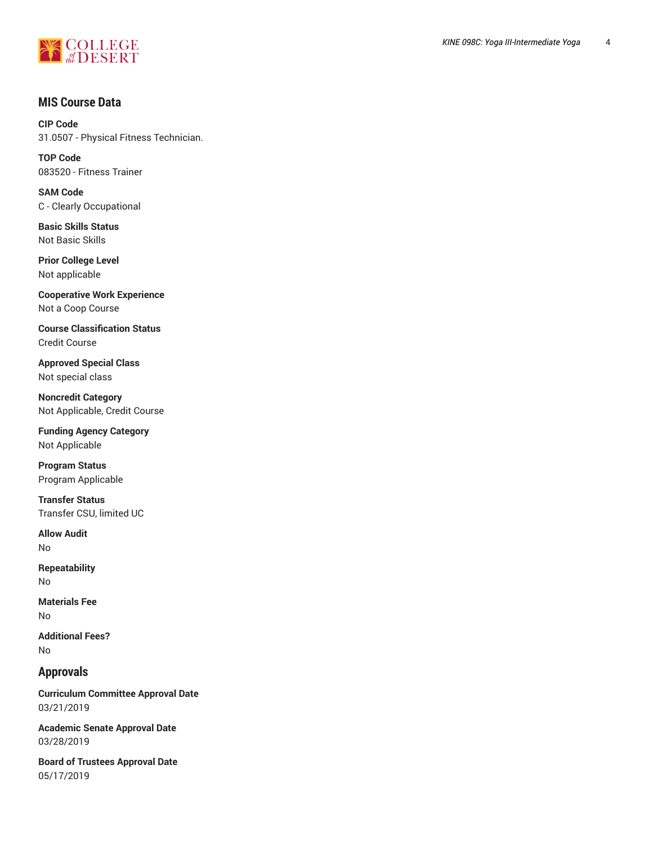

# **MIS Course Data**

**CIP Code** 31.0507 - Physical Fitness Technician.

**TOP Code** 083520 - Fitness Trainer

**SAM Code** C - Clearly Occupational

**Basic Skills Status** Not Basic Skills

**Prior College Level** Not applicable

**Cooperative Work Experience** Not a Coop Course

**Course Classification Status** Credit Course

**Approved Special Class** Not special class

**Noncredit Category** Not Applicable, Credit Course

**Funding Agency Category** Not Applicable

**Program Status** Program Applicable

**Transfer Status** Transfer CSU, limited UC

**Allow Audit** No

**Repeatability** No

**Materials Fee** No

**Additional Fees?** No

# **Approvals**

**Curriculum Committee Approval Date** 03/21/2019

**Academic Senate Approval Date** 03/28/2019

**Board of Trustees Approval Date** 05/17/2019